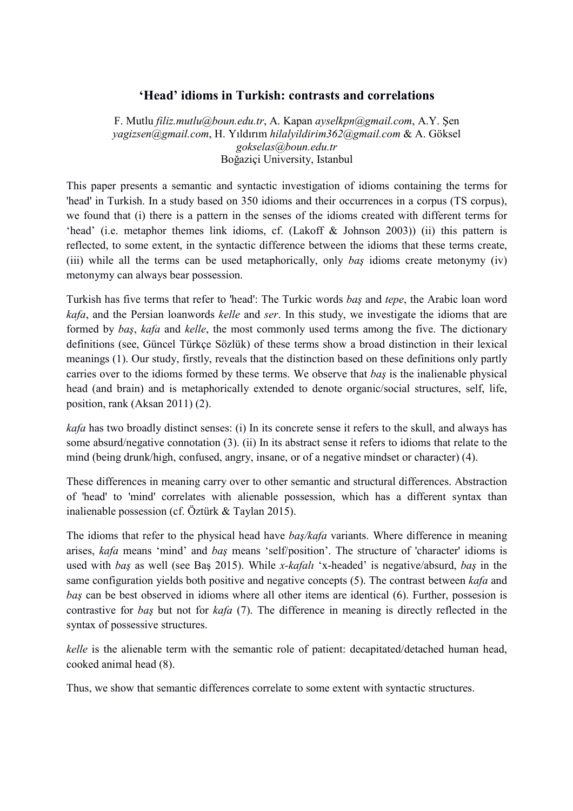## **'Head' idioms in Turkish: contrasts and correlations**

F. Mutlu *filiz.mutlu@boun.edu.tr*, A. Kapan *ayselkpn@gmail.com*, A.Y. Şen *yagizsen@gmail.com*, H. Yıldırım *hilalyildirim362@gmail.com* & A. Göksel *gokselas@boun.edu.tr* Boğaziçi University, Istanbul

This paper presents a semantic and syntactic investigation of idioms containing the terms for 'head' in Turkish. In a study based on 350 idioms and their occurrences in a corpus (TS corpus), we found that (i) there is a pattern in the senses of the idioms created with different terms for 'head' (i.e. metaphor themes link idioms, cf. (Lakoff & Johnson 2003)) (ii) this pattern is reflected, to some extent, in the syntactic difference between the idioms that these terms create, (iii) while all the terms can be used metaphorically, only *baş* idioms create metonymy (iv) metonymy can always bear possession.

Turkish has five terms that refer to 'head': The Turkic words *baş* and *tepe*, the Arabic loan word *kafa*, and the Persian loanwords *kelle* and *ser*. In this study, we investigate the idioms that are formed by *baş*, *kafa* and *kelle*, the most commonly used terms among the five. The dictionary definitions (see, Güncel Türkçe Sözlük) of these terms show a broad distinction in their lexical meanings (1). Our study, firstly, reveals that the distinction based on these definitions only partly carries over to the idioms formed by these terms. We observe that *baş* is the inalienable physical head (and brain) and is metaphorically extended to denote organic/social structures, self, life, position, rank (Aksan 2011) (2).

*kafa* has two broadly distinct senses: (i) In its concrete sense it refers to the skull, and always has some absurd/negative connotation (3). (ii) In its abstract sense it refers to idioms that relate to the mind (being drunk/high, confused, angry, insane, or of a negative mindset or character) (4).

These differences in meaning carry over to other semantic and structural differences. Abstraction of 'head' to 'mind' correlates with alienable possession, which has a different syntax than inalienable possession (cf. Öztürk & Taylan 2015).

The idioms that refer to the physical head have *baş/kafa* variants. Where difference in meaning arises, *kafa* means 'mind' and *baş* means 'self/position'. The structure of 'character' idioms is used with *baş* as well (see Baş 2015). While *x-kafalı* 'x-headed' is negative/absurd, *baş* in the same configuration yields both positive and negative concepts (5). The contrast between *kafa* and *baş* can be best observed in idioms where all other items are identical (6). Further, possesion is contrastive for *baş* but not for *kafa* (7). The difference in meaning is directly reflected in the syntax of possessive structures.

*kelle* is the alienable term with the semantic role of patient: decapitated/detached human head, cooked animal head (8).

Thus, we show that semantic differences correlate to some extent with syntactic structures.